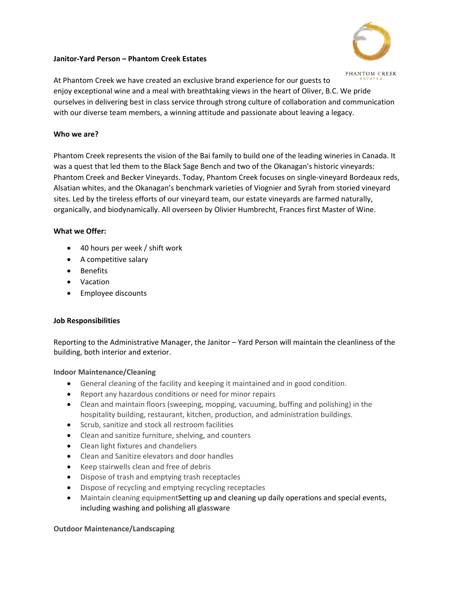### **Janitor-Yard Person – Phantom Creek Estates**



At Phantom Creek we have created an exclusive brand experience for our guests to enjoy exceptional wine and a meal with breathtaking views in the heart of Oliver, B.C. We pride ourselves in delivering best in class service through strong culture of collaboration and communication with our diverse team members, a winning attitude and passionate about leaving a legacy.

## **Who we are?**

Phantom Creek represents the vision of the Bai family to build one of the leading wineries in Canada. It was a quest that led them to the Black Sage Bench and two of the Okanagan's historic vineyards: Phantom Creek and Becker Vineyards. Today, Phantom Creek focuses on single-vineyard Bordeaux reds, Alsatian whites, and the Okanagan's benchmark varieties of Viognier and Syrah from storied vineyard sites. Led by the tireless efforts of our vineyard team, our estate vineyards are farmed naturally, organically, and biodynamically. All overseen by Olivier Humbrecht, Frances first Master of Wine.

## **What we Offer:**

- 40 hours per week / shift work
- A competitive salary
- Benefits
- Vacation
- Employee discounts

# **Job Responsibilities**

Reporting to the Administrative Manager, the Janitor – Yard Person will maintain the cleanliness of the building, both interior and exterior.

# **Indoor Maintenance/Cleaning**

- General cleaning of the facility and keeping it maintained and in good condition.
- Report any hazardous conditions or need for minor repairs
- Clean and maintain floors (sweeping, mopping, vacuuming, buffing and polishing) in the hospitality building, restaurant, kitchen, production, and administration buildings.
- Scrub, sanitize and stock all restroom facilities
- Clean and sanitize furniture, shelving, and counters
- Clean light fixtures and chandeliers
- Clean and Sanitize elevators and door handles
- Keep stairwells clean and free of debris
- Dispose of trash and emptying trash receptacles
- Dispose of recycling and emptying recycling receptacles
- Maintain cleaning equipmentSetting up and cleaning up daily operations and special events, including washing and polishing all glassware

#### **Outdoor Maintenance/Landscaping**